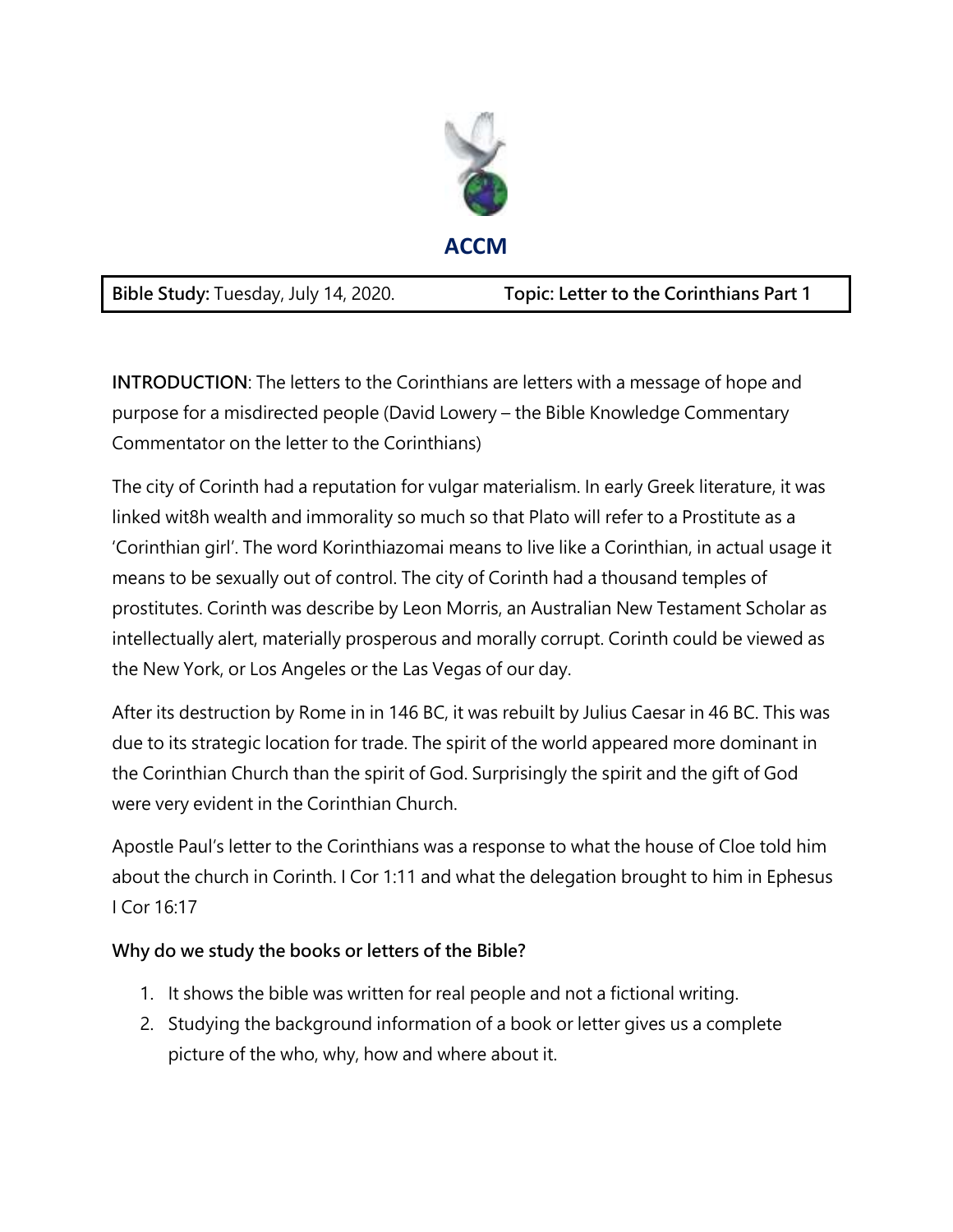

**INTRODUCTION**: The letters to the Corinthians are letters with a message of hope and purpose for a misdirected people (David Lowery – the Bible Knowledge Commentary Commentator on the letter to the Corinthians)

The city of Corinth had a reputation for vulgar materialism. In early Greek literature, it was linked wit8h wealth and immorality so much so that Plato will refer to a Prostitute as a 'Corinthian girl'. The word Korinthiazomai means to live like a Corinthian, in actual usage it means to be sexually out of control. The city of Corinth had a thousand temples of prostitutes. Corinth was describe by Leon Morris, an Australian New Testament Scholar as intellectually alert, materially prosperous and morally corrupt. Corinth could be viewed as the New York, or Los Angeles or the Las Vegas of our day.

After its destruction by Rome in in 146 BC, it was rebuilt by Julius Caesar in 46 BC. This was due to its strategic location for trade. The spirit of the world appeared more dominant in the Corinthian Church than the spirit of God. Surprisingly the spirit and the gift of God were very evident in the Corinthian Church.

Apostle Paul's letter to the Corinthians was a response to what the house of Cloe told him about the church in Corinth. I Cor 1:11 and what the delegation brought to him in Ephesus I Cor 16:17

## **Why do we study the books or letters of the Bible?**

- 1. It shows the bible was written for real people and not a fictional writing.
- 2. Studying the background information of a book or letter gives us a complete picture of the who, why, how and where about it.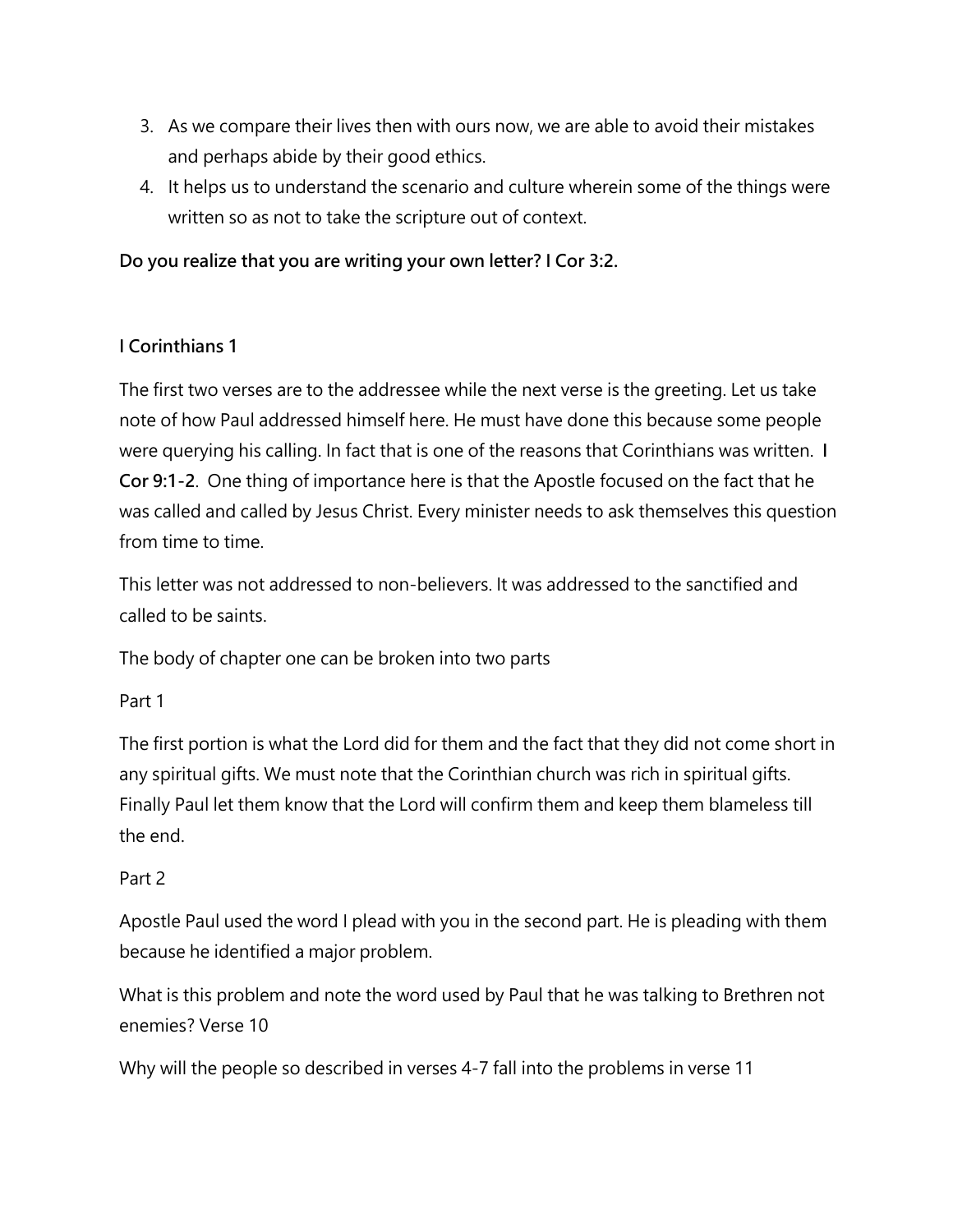- 3. As we compare their lives then with ours now, we are able to avoid their mistakes and perhaps abide by their good ethics.
- 4. It helps us to understand the scenario and culture wherein some of the things were written so as not to take the scripture out of context.

**Do you realize that you are writing your own letter? I Cor 3:2.** 

## **I Corinthians 1**

The first two verses are to the addressee while the next verse is the greeting. Let us take note of how Paul addressed himself here. He must have done this because some people were querying his calling. In fact that is one of the reasons that Corinthians was written. **I Cor 9:1-2**. One thing of importance here is that the Apostle focused on the fact that he was called and called by Jesus Christ. Every minister needs to ask themselves this question from time to time.

This letter was not addressed to non-believers. It was addressed to the sanctified and called to be saints.

The body of chapter one can be broken into two parts

Part 1

The first portion is what the Lord did for them and the fact that they did not come short in any spiritual gifts. We must note that the Corinthian church was rich in spiritual gifts. Finally Paul let them know that the Lord will confirm them and keep them blameless till the end.

## Part 2

Apostle Paul used the word I plead with you in the second part. He is pleading with them because he identified a major problem.

What is this problem and note the word used by Paul that he was talking to Brethren not enemies? Verse 10

Why will the people so described in verses 4-7 fall into the problems in verse 11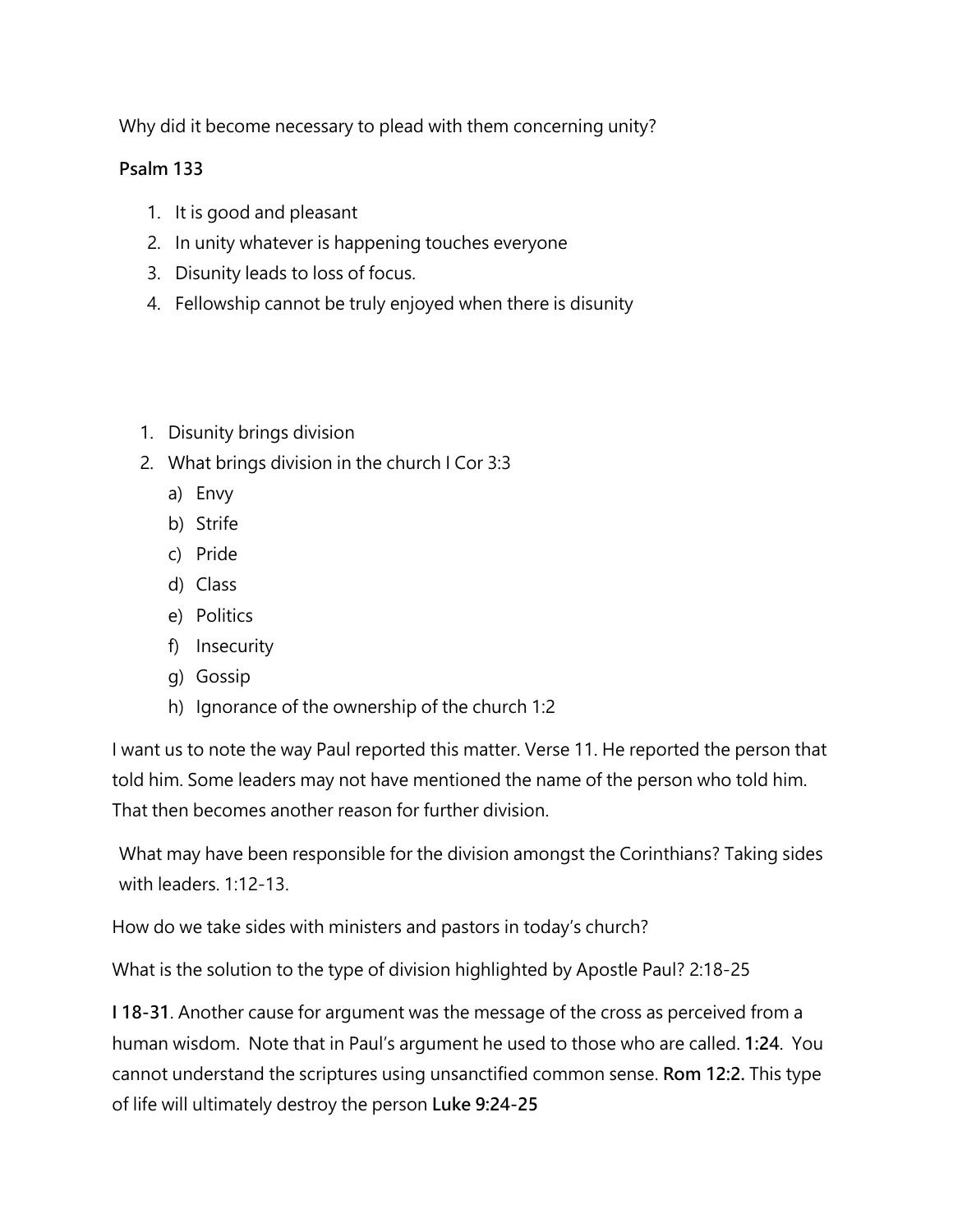Why did it become necessary to plead with them concerning unity?

## **Psalm 133**

- 1. It is good and pleasant
- 2. In unity whatever is happening touches everyone
- 3. Disunity leads to loss of focus.
- 4. Fellowship cannot be truly enjoyed when there is disunity
- 1. Disunity brings division
- 2. What brings division in the church I Cor 3:3
	- a) Envy
	- b) Strife
	- c) Pride
	- d) Class
	- e) Politics
	- f) Insecurity
	- g) Gossip
	- h) Ignorance of the ownership of the church 1:2

I want us to note the way Paul reported this matter. Verse 11. He reported the person that told him. Some leaders may not have mentioned the name of the person who told him. That then becomes another reason for further division.

What may have been responsible for the division amongst the Corinthians? Taking sides with leaders. 1:12-13.

How do we take sides with ministers and pastors in today's church?

What is the solution to the type of division highlighted by Apostle Paul? 2:18-25

**I 18-31**. Another cause for argument was the message of the cross as perceived from a human wisdom. Note that in Paul's argument he used to those who are called. **1:24**. You cannot understand the scriptures using unsanctified common sense. **Rom 12:2.** This type of life will ultimately destroy the person **Luke 9:24-25**